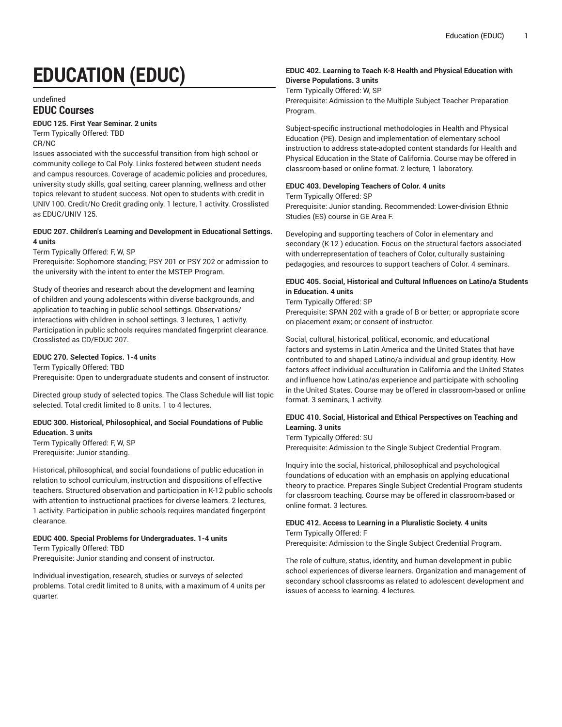# **EDUCATION (EDUC)**

#### undefined

# **EDUC Courses**

#### **EDUC 125. First Year Seminar. 2 units**

Term Typically Offered: TBD CR/NC

Issues associated with the successful transition from high school or community college to Cal Poly. Links fostered between student needs and campus resources. Coverage of academic policies and procedures, university study skills, goal setting, career planning, wellness and other topics relevant to student success. Not open to students with credit in UNIV 100. Credit/No Credit grading only. 1 lecture, 1 activity. Crosslisted as EDUC/UNIV 125.

#### **EDUC 207. Children's Learning and Development in Educational Settings. 4 units**

Term Typically Offered: F, W, SP

Prerequisite: Sophomore standing; PSY 201 or PSY 202 or admission to the university with the intent to enter the MSTEP Program.

Study of theories and research about the development and learning of children and young adolescents within diverse backgrounds, and application to teaching in public school settings. Observations/ interactions with children in school settings. 3 lectures, 1 activity. Participation in public schools requires mandated fingerprint clearance. Crosslisted as CD/EDUC 207.

## **EDUC 270. Selected Topics. 1-4 units**

Term Typically Offered: TBD Prerequisite: Open to undergraduate students and consent of instructor.

Directed group study of selected topics. The Class Schedule will list topic selected. Total credit limited to 8 units. 1 to 4 lectures.

# **EDUC 300. Historical, Philosophical, and Social Foundations of Public Education. 3 units**

Term Typically Offered: F, W, SP Prerequisite: Junior standing.

Historical, philosophical, and social foundations of public education in relation to school curriculum, instruction and dispositions of effective teachers. Structured observation and participation in K-12 public schools with attention to instructional practices for diverse learners. 2 lectures, 1 activity. Participation in public schools requires mandated fingerprint clearance.

#### **EDUC 400. Special Problems for Undergraduates. 1-4 units** Term Typically Offered: TBD

Prerequisite: Junior standing and consent of instructor.

Individual investigation, research, studies or surveys of selected problems. Total credit limited to 8 units, with a maximum of 4 units per quarter.

# **EDUC 402. Learning to Teach K-8 Health and Physical Education with Diverse Populations. 3 units**

Term Typically Offered: W, SP

Prerequisite: Admission to the Multiple Subject Teacher Preparation Program.

Subject-specific instructional methodologies in Health and Physical Education (PE). Design and implementation of elementary school instruction to address state-adopted content standards for Health and Physical Education in the State of California. Course may be offered in classroom-based or online format. 2 lecture, 1 laboratory.

#### **EDUC 403. Developing Teachers of Color. 4 units**

Term Typically Offered: SP

Prerequisite: Junior standing. Recommended: Lower-division Ethnic Studies (ES) course in GE Area F.

Developing and supporting teachers of Color in elementary and secondary (K-12 ) education. Focus on the structural factors associated with underrepresentation of teachers of Color, culturally sustaining pedagogies, and resources to support teachers of Color. 4 seminars.

# **EDUC 405. Social, Historical and Cultural Influences on Latino/a Students in Education. 4 units**

Term Typically Offered: SP

Prerequisite: SPAN 202 with a grade of B or better; or appropriate score on placement exam; or consent of instructor.

Social, cultural, historical, political, economic, and educational factors and systems in Latin America and the United States that have contributed to and shaped Latino/a individual and group identity. How factors affect individual acculturation in California and the United States and influence how Latino/as experience and participate with schooling in the United States. Course may be offered in classroom-based or online format. 3 seminars, 1 activity.

# **EDUC 410. Social, Historical and Ethical Perspectives on Teaching and Learning. 3 units**

Term Typically Offered: SU

Prerequisite: Admission to the Single Subject Credential Program.

Inquiry into the social, historical, philosophical and psychological foundations of education with an emphasis on applying educational theory to practice. Prepares Single Subject Credential Program students for classroom teaching. Course may be offered in classroom-based or online format. 3 lectures.

#### **EDUC 412. Access to Learning in a Pluralistic Society. 4 units** Term Typically Offered: F

Prerequisite: Admission to the Single Subject Credential Program.

The role of culture, status, identity, and human development in public school experiences of diverse learners. Organization and management of secondary school classrooms as related to adolescent development and issues of access to learning. 4 lectures.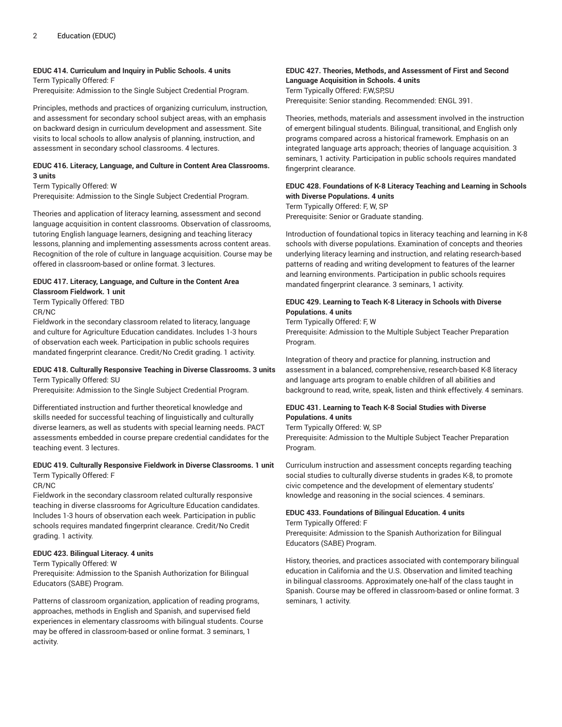# **EDUC 414. Curriculum and Inquiry in Public Schools. 4 units**

Term Typically Offered: F Prerequisite: Admission to the Single Subject Credential Program.

Principles, methods and practices of organizing curriculum, instruction, and assessment for secondary school subject areas, with an emphasis on backward design in curriculum development and assessment. Site visits to local schools to allow analysis of planning, instruction, and assessment in secondary school classrooms. 4 lectures.

## **EDUC 416. Literacy, Language, and Culture in Content Area Classrooms. 3 units**

Term Typically Offered: W Prerequisite: Admission to the Single Subject Credential Program.

Theories and application of literacy learning, assessment and second language acquisition in content classrooms. Observation of classrooms, tutoring English language learners, designing and teaching literacy lessons, planning and implementing assessments across content areas. Recognition of the role of culture in language acquisition. Course may be offered in classroom-based or online format. 3 lectures.

# **EDUC 417. Literacy, Language, and Culture in the Content Area**

**Classroom Fieldwork. 1 unit** Term Typically Offered: TBD CR/NC

Fieldwork in the secondary classroom related to literacy, language and culture for Agriculture Education candidates. Includes 1-3 hours of observation each week. Participation in public schools requires mandated fingerprint clearance. Credit/No Credit grading. 1 activity.

#### **EDUC 418. Culturally Responsive Teaching in Diverse Classrooms. 3 units** Term Typically Offered: SU

Prerequisite: Admission to the Single Subject Credential Program.

Differentiated instruction and further theoretical knowledge and skills needed for successful teaching of linguistically and culturally diverse learners, as well as students with special learning needs. PACT assessments embedded in course prepare credential candidates for the teaching event. 3 lectures.

# **EDUC 419. Culturally Responsive Fieldwork in Diverse Classrooms. 1 unit**

Term Typically Offered: F CR/NC

Fieldwork in the secondary classroom related culturally responsive teaching in diverse classrooms for Agriculture Education candidates. Includes 1-3 hours of observation each week. Participation in public schools requires mandated fingerprint clearance. Credit/No Credit grading. 1 activity.

# **EDUC 423. Bilingual Literacy. 4 units**

Term Typically Offered: W

Prerequisite: Admission to the Spanish Authorization for Bilingual Educators (SABE) Program.

Patterns of classroom organization, application of reading programs, approaches, methods in English and Spanish, and supervised field experiences in elementary classrooms with bilingual students. Course may be offered in classroom-based or online format. 3 seminars, 1 activity.

# **EDUC 427. Theories, Methods, and Assessment of First and Second Language Acquisition in Schools. 4 units**

Term Typically Offered: F,W,SP,SU Prerequisite: Senior standing. Recommended: ENGL 391.

Theories, methods, materials and assessment involved in the instruction of emergent bilingual students. Bilingual, transitional, and English only programs compared across a historical framework. Emphasis on an integrated language arts approach; theories of language acquisition. 3 seminars, 1 activity. Participation in public schools requires mandated fingerprint clearance.

# **EDUC 428. Foundations of K-8 Literacy Teaching and Learning in Schools with Diverse Populations. 4 units**

Term Typically Offered: F, W, SP Prerequisite: Senior or Graduate standing.

Introduction of foundational topics in literacy teaching and learning in K-8 schools with diverse populations. Examination of concepts and theories underlying literacy learning and instruction, and relating research-based patterns of reading and writing development to features of the learner and learning environments. Participation in public schools requires mandated fingerprint clearance. 3 seminars, 1 activity.

# **EDUC 429. Learning to Teach K-8 Literacy in Schools with Diverse Populations. 4 units**

Term Typically Offered: F, W

Prerequisite: Admission to the Multiple Subject Teacher Preparation Program.

Integration of theory and practice for planning, instruction and assessment in a balanced, comprehensive, research-based K-8 literacy and language arts program to enable children of all abilities and background to read, write, speak, listen and think effectively. 4 seminars.

# **EDUC 431. Learning to Teach K-8 Social Studies with Diverse Populations. 4 units**

Term Typically Offered: W, SP

Prerequisite: Admission to the Multiple Subject Teacher Preparation Program.

Curriculum instruction and assessment concepts regarding teaching social studies to culturally diverse students in grades K-8, to promote civic competence and the development of elementary students' knowledge and reasoning in the social sciences. 4 seminars.

# **EDUC 433. Foundations of Bilingual Education. 4 units**

Term Typically Offered: F

Prerequisite: Admission to the Spanish Authorization for Bilingual Educators (SABE) Program.

History, theories, and practices associated with contemporary bilingual education in California and the U.S. Observation and limited teaching in bilingual classrooms. Approximately one-half of the class taught in Spanish. Course may be offered in classroom-based or online format. 3 seminars, 1 activity.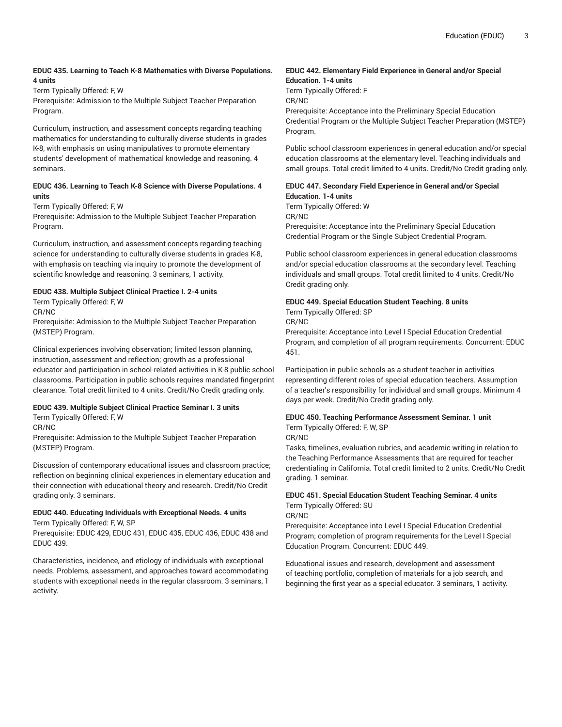## **EDUC 435. Learning to Teach K-8 Mathematics with Diverse Populations. 4 units**

Term Typically Offered: F, W

Prerequisite: Admission to the Multiple Subject Teacher Preparation Program.

Curriculum, instruction, and assessment concepts regarding teaching mathematics for understanding to culturally diverse students in grades K-8, with emphasis on using manipulatives to promote elementary students' development of mathematical knowledge and reasoning. 4 seminars.

## **EDUC 436. Learning to Teach K-8 Science with Diverse Populations. 4 units**

Term Typically Offered: F, W

Prerequisite: Admission to the Multiple Subject Teacher Preparation Program.

Curriculum, instruction, and assessment concepts regarding teaching science for understanding to culturally diverse students in grades K-8, with emphasis on teaching via inquiry to promote the development of scientific knowledge and reasoning. 3 seminars, 1 activity.

# **EDUC 438. Multiple Subject Clinical Practice I. 2-4 units**

Term Typically Offered: F, W CR/NC

Prerequisite: Admission to the Multiple Subject Teacher Preparation (MSTEP) Program.

Clinical experiences involving observation; limited lesson planning, instruction, assessment and reflection; growth as a professional educator and participation in school-related activities in K-8 public school classrooms. Participation in public schools requires mandated fingerprint clearance. Total credit limited to 4 units. Credit/No Credit grading only.

# **EDUC 439. Multiple Subject Clinical Practice Seminar I. 3 units**

Term Typically Offered: F, W

CR/NC

Prerequisite: Admission to the Multiple Subject Teacher Preparation (MSTEP) Program.

Discussion of contemporary educational issues and classroom practice; reflection on beginning clinical experiences in elementary education and their connection with educational theory and research. Credit/No Credit grading only. 3 seminars.

# **EDUC 440. Educating Individuals with Exceptional Needs. 4 units**

Term Typically Offered: F, W, SP

Prerequisite: EDUC 429, EDUC 431, EDUC 435, EDUC 436, EDUC 438 and EDUC 439.

Characteristics, incidence, and etiology of individuals with exceptional needs. Problems, assessment, and approaches toward accommodating students with exceptional needs in the regular classroom. 3 seminars, 1 activity.

# **EDUC 442. Elementary Field Experience in General and/or Special Education. 1-4 units**

Term Typically Offered: F CR/NC

Prerequisite: Acceptance into the Preliminary Special Education Credential Program or the Multiple Subject Teacher Preparation (MSTEP) Program.

Public school classroom experiences in general education and/or special education classrooms at the elementary level. Teaching individuals and small groups. Total credit limited to 4 units. Credit/No Credit grading only.

# **EDUC 447. Secondary Field Experience in General and/or Special Education. 1-4 units**

Term Typically Offered: W CR/NC

Prerequisite: Acceptance into the Preliminary Special Education Credential Program or the Single Subject Credential Program.

Public school classroom experiences in general education classrooms and/or special education classrooms at the secondary level. Teaching individuals and small groups. Total credit limited to 4 units. Credit/No Credit grading only.

# **EDUC 449. Special Education Student Teaching. 8 units**

Term Typically Offered: SP

CR/NC

Prerequisite: Acceptance into Level I Special Education Credential Program, and completion of all program requirements. Concurrent: EDUC 451.

Participation in public schools as a student teacher in activities representing different roles of special education teachers. Assumption of a teacher's responsibility for individual and small groups. Minimum 4 days per week. Credit/No Credit grading only.

# **EDUC 450. Teaching Performance Assessment Seminar. 1 unit**

Term Typically Offered: F, W, SP

CR/NC

Tasks, timelines, evaluation rubrics, and academic writing in relation to the Teaching Performance Assessments that are required for teacher credentialing in California. Total credit limited to 2 units. Credit/No Credit grading. 1 seminar.

# **EDUC 451. Special Education Student Teaching Seminar. 4 units** Term Typically Offered: SU

CR/NC

Prerequisite: Acceptance into Level I Special Education Credential Program; completion of program requirements for the Level I Special Education Program. Concurrent: EDUC 449.

Educational issues and research, development and assessment of teaching portfolio, completion of materials for a job search, and beginning the first year as a special educator. 3 seminars, 1 activity.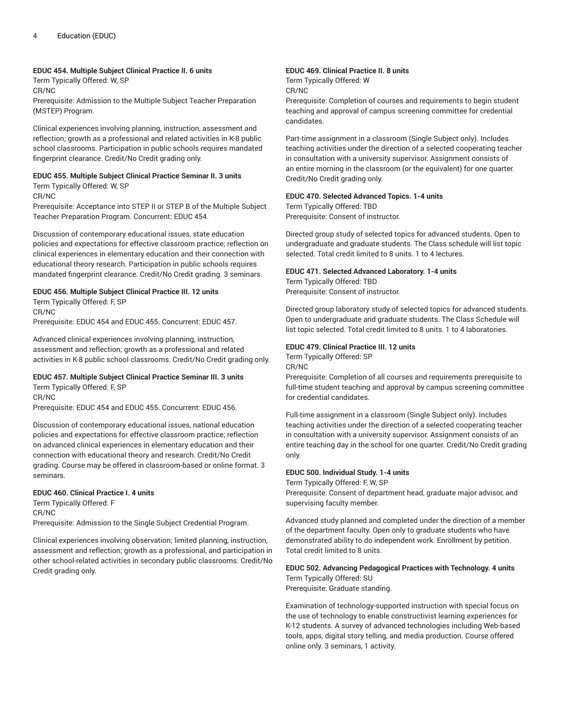## **EDUC 454. Multiple Subject Clinical Practice II. 6 units**

Term Typically Offered: W, SP CR/NC

Prerequisite: Admission to the Multiple Subject Teacher Preparation (MSTEP) Program.

Clinical experiences involving planning, instruction, assessment and reflection; growth as a professional and related activities in K-8 public school classrooms. Participation in public schools requires mandated fingerprint clearance. Credit/No Credit grading only.

# **EDUC 455. Multiple Subject Clinical Practice Seminar II. 3 units**

Term Typically Offered: W, SP

CR/NC

Prerequisite: Acceptance into STEP II or STEP B of the Multiple Subject Teacher Preparation Program. Concurrent: EDUC 454.

Discussion of contemporary educational issues, state education policies and expectations for effective classroom practice; reflection on clinical experiences in elementary education and their connection with educational theory research. Participation in public schools requires mandated fingerprint clearance. Credit/No Credit grading. 3 seminars.

# **EDUC 456. Multiple Subject Clinical Practice III. 12 units**

Term Typically Offered: F, SP CR/NC Prerequisite: EDUC 454 and EDUC 455. Concurrent: EDUC 457.

Advanced clinical experiences involving planning, instruction, assessment and reflection; growth as a professional and related activities in K-8 public school classrooms. Credit/No Credit grading only.

# **EDUC 457. Multiple Subject Clinical Practice Seminar III. 3 units** Term Typically Offered: F, SP

CR/NC

Prerequisite: EDUC 454 and EDUC 455. Concurrent: EDUC 456.

Discussion of contemporary educational issues, national education policies and expectations for effective classroom practice; reflection on advanced clinical experiences in elementary education and their connection with educational theory and research. Credit/No Credit grading. Course may be offered in classroom-based or online format. 3 seminars.

# **EDUC 460. Clinical Practice I. 4 units**

Term Typically Offered: F CR/NC

Prerequisite: Admission to the Single Subject Credential Program.

Clinical experiences involving observation; limited planning, instruction, assessment and reflection; growth as a professional, and participation in other school-related activities in secondary public classrooms. Credit/No Credit grading only.

# **EDUC 469. Clinical Practice II. 8 units**

Term Typically Offered: W

CR/NC

Prerequisite: Completion of courses and requirements to begin student teaching and approval of campus screening committee for credential candidates.

Part-time assignment in a classroom (Single Subject only). Includes teaching activities under the direction of a selected cooperating teacher in consultation with a university supervisor. Assignment consists of an entire morning in the classroom (or the equivalent) for one quarter. Credit/No Credit grading only.

# **EDUC 470. Selected Advanced Topics. 1-4 units**

Term Typically Offered: TBD Prerequisite: Consent of instructor.

Directed group study of selected topics for advanced students. Open to undergraduate and graduate students. The Class schedule will list topic selected. Total credit limited to 8 units. 1 to 4 lectures.

# **EDUC 471. Selected Advanced Laboratory. 1-4 units**

Term Typically Offered: TBD Prerequisite: Consent of instructor.

Directed group laboratory study of selected topics for advanced students. Open to undergraduate and graduate students. The Class Schedule will list topic selected. Total credit limited to 8 units. 1 to 4 laboratories.

# **EDUC 479. Clinical Practice III. 12 units**

Term Typically Offered: SP

CR/NC

Prerequisite: Completion of all courses and requirements prerequisite to full-time student teaching and approval by campus screening committee for credential candidates.

Full-time assignment in a classroom (Single Subject only). Includes teaching activities under the direction of a selected cooperating teacher in consultation with a university supervisor. Assignment consists of an entire teaching day in the school for one quarter. Credit/No Credit grading only.

# **EDUC 500. Individual Study. 1-4 units**

Term Typically Offered: F, W, SP Prerequisite: Consent of department head, graduate major advisor, and supervising faculty member.

Advanced study planned and completed under the direction of a member of the department faculty. Open only to graduate students who have demonstrated ability to do independent work. Enrollment by petition. Total credit limited to 8 units.

# **EDUC 502. Advancing Pedagogical Practices with Technology. 4 units**

Term Typically Offered: SU Prerequisite: Graduate standing.

Examination of technology-supported instruction with special focus on the use of technology to enable constructivist learning experiences for K-12 students. A survey of advanced technologies including Web-based tools, apps, digital story telling, and media production. Course offered online only. 3 seminars, 1 activity.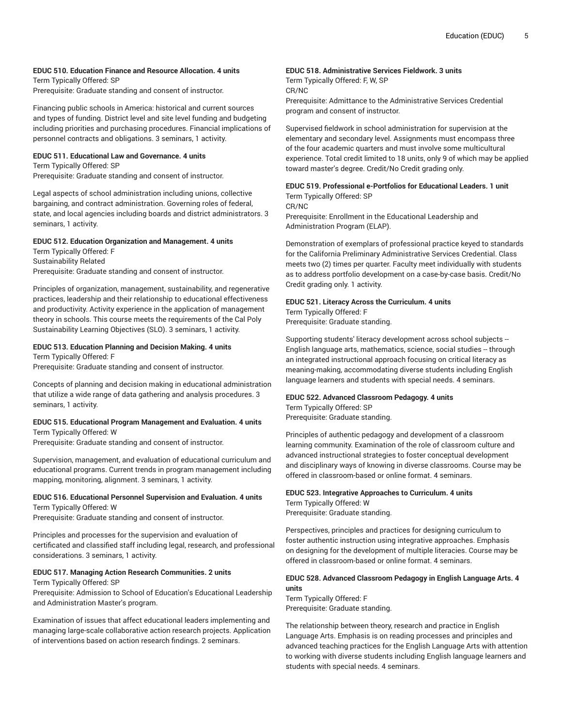# **EDUC 510. Education Finance and Resource Allocation. 4 units**

Term Typically Offered: SP Prerequisite: Graduate standing and consent of instructor.

Financing public schools in America: historical and current sources and types of funding. District level and site level funding and budgeting including priorities and purchasing procedures. Financial implications of personnel contracts and obligations. 3 seminars, 1 activity.

# **EDUC 511. Educational Law and Governance. 4 units**

Term Typically Offered: SP Prerequisite: Graduate standing and consent of instructor.

Legal aspects of school administration including unions, collective bargaining, and contract administration. Governing roles of federal, state, and local agencies including boards and district administrators. 3 seminars, 1 activity.

# **EDUC 512. Education Organization and Management. 4 units**

Term Typically Offered: F Sustainability Related Prerequisite: Graduate standing and consent of instructor.

Principles of organization, management, sustainability, and regenerative practices, leadership and their relationship to educational effectiveness and productivity. Activity experience in the application of management theory in schools. This course meets the requirements of the Cal Poly Sustainability Learning Objectives (SLO). 3 seminars, 1 activity.

# **EDUC 513. Education Planning and Decision Making. 4 units**

Term Typically Offered: F Prerequisite: Graduate standing and consent of instructor.

Concepts of planning and decision making in educational administration that utilize a wide range of data gathering and analysis procedures. 3 seminars, 1 activity.

#### **EDUC 515. Educational Program Management and Evaluation. 4 units** Term Typically Offered: W

Prerequisite: Graduate standing and consent of instructor.

Supervision, management, and evaluation of educational curriculum and educational programs. Current trends in program management including mapping, monitoring, alignment. 3 seminars, 1 activity.

#### **EDUC 516. Educational Personnel Supervision and Evaluation. 4 units** Term Typically Offered: W

Prerequisite: Graduate standing and consent of instructor.

Principles and processes for the supervision and evaluation of certificated and classified staff including legal, research, and professional considerations. 3 seminars, 1 activity.

# **EDUC 517. Managing Action Research Communities. 2 units**

Term Typically Offered: SP

Prerequisite: Admission to School of Education's Educational Leadership and Administration Master's program.

Examination of issues that affect educational leaders implementing and managing large-scale collaborative action research projects. Application of interventions based on action research findings. 2 seminars.

# **EDUC 518. Administrative Services Fieldwork. 3 units**

Term Typically Offered: F, W, SP CR/NC Prerequisite: Admittance to the Administrative Services Credential program and consent of instructor.

Supervised fieldwork in school administration for supervision at the elementary and secondary level. Assignments must encompass three of the four academic quarters and must involve some multicultural experience. Total credit limited to 18 units, only 9 of which may be applied toward master's degree. Credit/No Credit grading only.

#### **EDUC 519. Professional e-Portfolios for Educational Leaders. 1 unit** Term Typically Offered: SP

CR/NC Prerequisite: Enrollment in the Educational Leadership and Administration Program (ELAP).

Demonstration of exemplars of professional practice keyed to standards for the California Preliminary Administrative Services Credential. Class meets two (2) times per quarter. Faculty meet individually with students as to address portfolio development on a case-by-case basis. Credit/No Credit grading only. 1 activity.

# **EDUC 521. Literacy Across the Curriculum. 4 units** Term Typically Offered: F Prerequisite: Graduate standing.

Supporting students' literacy development across school subjects -- English language arts, mathematics, science, social studies -- through an integrated instructional approach focusing on critical literacy as meaning-making, accommodating diverse students including English language learners and students with special needs. 4 seminars.

## **EDUC 522. Advanced Classroom Pedagogy. 4 units**

Term Typically Offered: SP Prerequisite: Graduate standing.

Principles of authentic pedagogy and development of a classroom learning community. Examination of the role of classroom culture and advanced instructional strategies to foster conceptual development and disciplinary ways of knowing in diverse classrooms. Course may be offered in classroom-based or online format. 4 seminars.

# **EDUC 523. Integrative Approaches to Curriculum. 4 units** Term Typically Offered: W

Prerequisite: Graduate standing.

Perspectives, principles and practices for designing curriculum to foster authentic instruction using integrative approaches. Emphasis on designing for the development of multiple literacies. Course may be offered in classroom-based or online format. 4 seminars.

#### **EDUC 528. Advanced Classroom Pedagogy in English Language Arts. 4 units**

Term Typically Offered: F Prerequisite: Graduate standing.

The relationship between theory, research and practice in English Language Arts. Emphasis is on reading processes and principles and advanced teaching practices for the English Language Arts with attention to working with diverse students including English language learners and students with special needs. 4 seminars.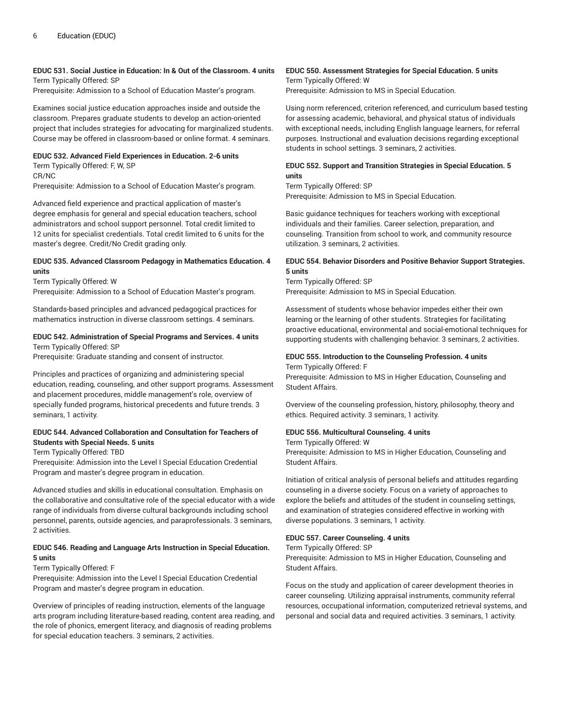# **EDUC 531. Social Justice in Education: In & Out of the Classroom. 4 units** Term Typically Offered: SP

Prerequisite: Admission to a School of Education Master's program.

Examines social justice education approaches inside and outside the classroom. Prepares graduate students to develop an action-oriented project that includes strategies for advocating for marginalized students. Course may be offered in classroom-based or online format. 4 seminars.

#### **EDUC 532. Advanced Field Experiences in Education. 2-6 units**

Term Typically Offered: F, W, SP CR/NC Prerequisite: Admission to a School of Education Master's program.

master's degree. Credit/No Credit grading only.

Advanced field experience and practical application of master's degree emphasis for general and special education teachers, school administrators and school support personnel. Total credit limited to 12 units for specialist credentials. Total credit limited to 6 units for the

#### **EDUC 535. Advanced Classroom Pedagogy in Mathematics Education. 4 units**

Term Typically Offered: W

Prerequisite: Admission to a School of Education Master's program.

Standards-based principles and advanced pedagogical practices for mathematics instruction in diverse classroom settings. 4 seminars.

#### **EDUC 542. Administration of Special Programs and Services. 4 units** Term Typically Offered: SP

Prerequisite: Graduate standing and consent of instructor.

Principles and practices of organizing and administering special education, reading, counseling, and other support programs. Assessment and placement procedures, middle management's role, overview of specially funded programs, historical precedents and future trends. 3 seminars, 1 activity.

# **EDUC 544. Advanced Collaboration and Consultation for Teachers of Students with Special Needs. 5 units**

Term Typically Offered: TBD

Prerequisite: Admission into the Level I Special Education Credential Program and master's degree program in education.

Advanced studies and skills in educational consultation. Emphasis on the collaborative and consultative role of the special educator with a wide range of individuals from diverse cultural backgrounds including school personnel, parents, outside agencies, and paraprofessionals. 3 seminars, 2 activities.

#### **EDUC 546. Reading and Language Arts Instruction in Special Education. 5 units**

# Term Typically Offered: F

Prerequisite: Admission into the Level I Special Education Credential Program and master's degree program in education.

Overview of principles of reading instruction, elements of the language arts program including literature-based reading, content area reading, and the role of phonics, emergent literacy, and diagnosis of reading problems for special education teachers. 3 seminars, 2 activities.

#### **EDUC 550. Assessment Strategies for Special Education. 5 units** Term Typically Offered: W

Prerequisite: Admission to MS in Special Education.

Using norm referenced, criterion referenced, and curriculum based testing for assessing academic, behavioral, and physical status of individuals with exceptional needs, including English language learners, for referral purposes. Instructional and evaluation decisions regarding exceptional students in school settings. 3 seminars, 2 activities.

# **EDUC 552. Support and Transition Strategies in Special Education. 5 units**

Term Typically Offered: SP Prerequisite: Admission to MS in Special Education.

Basic guidance techniques for teachers working with exceptional individuals and their families. Career selection, preparation, and counseling. Transition from school to work, and community resource utilization. 3 seminars, 2 activities.

# **EDUC 554. Behavior Disorders and Positive Behavior Support Strategies. 5 units**

Term Typically Offered: SP Prerequisite: Admission to MS in Special Education.

Assessment of students whose behavior impedes either their own learning or the learning of other students. Strategies for facilitating proactive educational, environmental and social-emotional techniques for supporting students with challenging behavior. 3 seminars, 2 activities.

# **EDUC 555. Introduction to the Counseling Profession. 4 units**

Term Typically Offered: F

Prerequisite: Admission to MS in Higher Education, Counseling and Student Affairs.

Overview of the counseling profession, history, philosophy, theory and ethics. Required activity. 3 seminars, 1 activity.

#### **EDUC 556. Multicultural Counseling. 4 units**

Term Typically Offered: W

Prerequisite: Admission to MS in Higher Education, Counseling and Student Affairs.

Initiation of critical analysis of personal beliefs and attitudes regarding counseling in a diverse society. Focus on a variety of approaches to explore the beliefs and attitudes of the student in counseling settings, and examination of strategies considered effective in working with diverse populations. 3 seminars, 1 activity.

#### **EDUC 557. Career Counseling. 4 units**

Term Typically Offered: SP

Prerequisite: Admission to MS in Higher Education, Counseling and Student Affairs.

Focus on the study and application of career development theories in career counseling. Utilizing appraisal instruments, community referral resources, occupational information, computerized retrieval systems, and personal and social data and required activities. 3 seminars, 1 activity.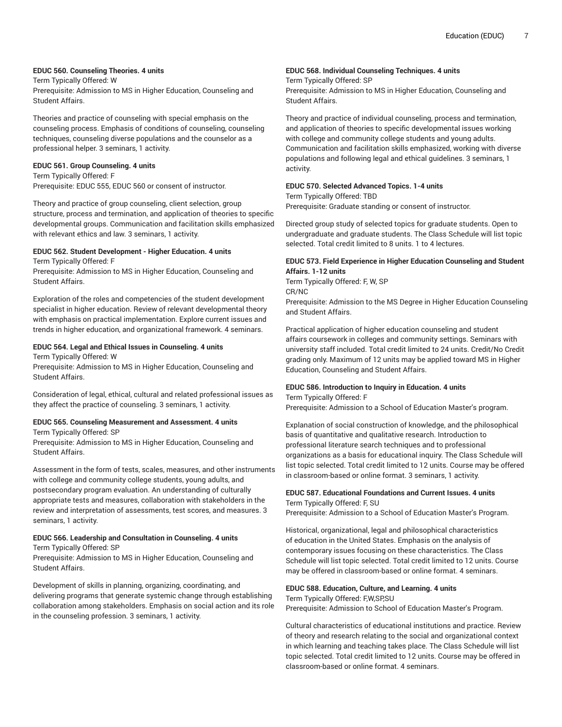# **EDUC 560. Counseling Theories. 4 units**

Term Typically Offered: W Prerequisite: Admission to MS in Higher Education, Counseling and Student Affairs.

Theories and practice of counseling with special emphasis on the counseling process. Emphasis of conditions of counseling, counseling techniques, counseling diverse populations and the counselor as a professional helper. 3 seminars, 1 activity.

#### **EDUC 561. Group Counseling. 4 units**

Term Typically Offered: F Prerequisite: EDUC 555, EDUC 560 or consent of instructor.

Theory and practice of group counseling, client selection, group structure, process and termination, and application of theories to specific developmental groups. Communication and facilitation skills emphasized with relevant ethics and law. 3 seminars, 1 activity.

#### **EDUC 562. Student Development - Higher Education. 4 units**

Term Typically Offered: F

Prerequisite: Admission to MS in Higher Education, Counseling and Student Affairs.

Exploration of the roles and competencies of the student development specialist in higher education. Review of relevant developmental theory with emphasis on practical implementation. Explore current issues and trends in higher education, and organizational framework. 4 seminars.

# **EDUC 564. Legal and Ethical Issues in Counseling. 4 units**

Term Typically Offered: W

Prerequisite: Admission to MS in Higher Education, Counseling and Student Affairs.

Consideration of legal, ethical, cultural and related professional issues as they affect the practice of counseling. 3 seminars, 1 activity.

#### **EDUC 565. Counseling Measurement and Assessment. 4 units** Term Typically Offered: SP

Prerequisite: Admission to MS in Higher Education, Counseling and Student Affairs.

Assessment in the form of tests, scales, measures, and other instruments with college and community college students, young adults, and postsecondary program evaluation. An understanding of culturally appropriate tests and measures, collaboration with stakeholders in the review and interpretation of assessments, test scores, and measures. 3 seminars, 1 activity.

# **EDUC 566. Leadership and Consultation in Counseling. 4 units**

Term Typically Offered: SP

Prerequisite: Admission to MS in Higher Education, Counseling and Student Affairs.

Development of skills in planning, organizing, coordinating, and delivering programs that generate systemic change through establishing collaboration among stakeholders. Emphasis on social action and its role in the counseling profession. 3 seminars, 1 activity.

# **EDUC 568. Individual Counseling Techniques. 4 units**

Term Typically Offered: SP Prerequisite: Admission to MS in Higher Education, Counseling and Student Affairs.

Theory and practice of individual counseling, process and termination, and application of theories to specific developmental issues working with college and community college students and young adults. Communication and facilitation skills emphasized, working with diverse populations and following legal and ethical guidelines. 3 seminars, 1 activity.

#### **EDUC 570. Selected Advanced Topics. 1-4 units**

Term Typically Offered: TBD

Prerequisite: Graduate standing or consent of instructor.

Directed group study of selected topics for graduate students. Open to undergraduate and graduate students. The Class Schedule will list topic selected. Total credit limited to 8 units. 1 to 4 lectures.

# **EDUC 573. Field Experience in Higher Education Counseling and Student Affairs. 1-12 units**

Term Typically Offered: F, W, SP CR/NC Prerequisite: Admission to the MS Degree in Higher Education Counseling and Student Affairs.

Practical application of higher education counseling and student affairs coursework in colleges and community settings. Seminars with university staff included. Total credit limited to 24 units. Credit/No Credit grading only. Maximum of 12 units may be applied toward MS in Higher

#### **EDUC 586. Introduction to Inquiry in Education. 4 units**

Education, Counseling and Student Affairs.

#### Term Typically Offered: F

Prerequisite: Admission to a School of Education Master's program.

Explanation of social construction of knowledge, and the philosophical basis of quantitative and qualitative research. Introduction to professional literature search techniques and to professional organizations as a basis for educational inquiry. The Class Schedule will list topic selected. Total credit limited to 12 units. Course may be offered in classroom-based or online format. 3 seminars, 1 activity.

#### **EDUC 587. Educational Foundations and Current Issues. 4 units** Term Typically Offered: F, SU

Prerequisite: Admission to a School of Education Master's Program.

Historical, organizational, legal and philosophical characteristics of education in the United States. Emphasis on the analysis of contemporary issues focusing on these characteristics. The Class Schedule will list topic selected. Total credit limited to 12 units. Course may be offered in classroom-based or online format. 4 seminars.

#### **EDUC 588. Education, Culture, and Learning. 4 units**

Term Typically Offered: F,W,SP,SU

Prerequisite: Admission to School of Education Master's Program.

Cultural characteristics of educational institutions and practice. Review of theory and research relating to the social and organizational context in which learning and teaching takes place. The Class Schedule will list topic selected. Total credit limited to 12 units. Course may be offered in classroom-based or online format. 4 seminars.